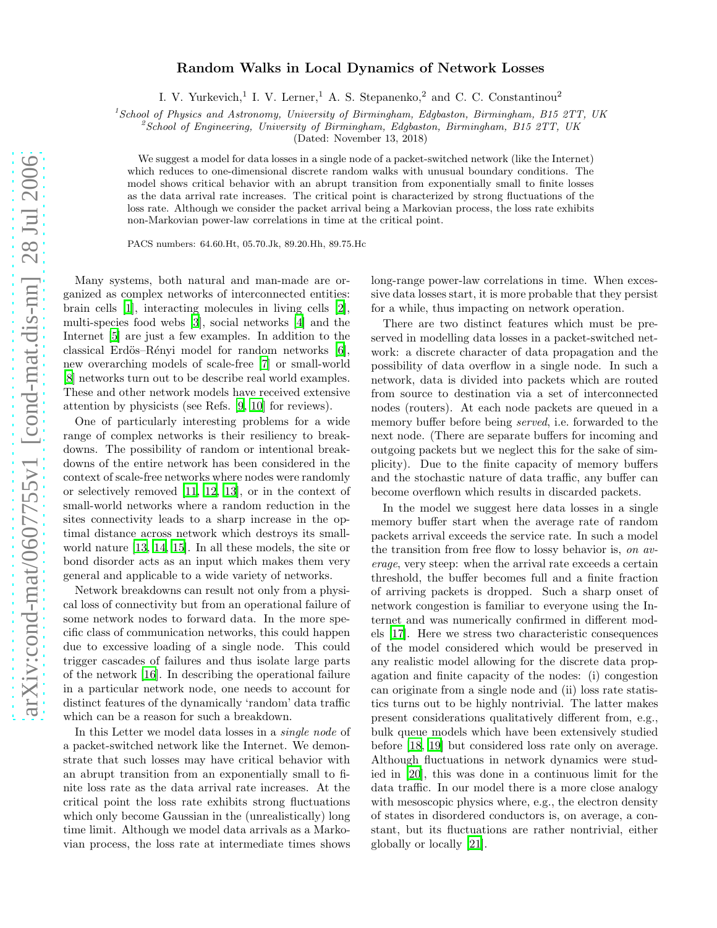## Random Walks in Local Dynamics of Network Losses

I. V. Yurkevich,<sup>1</sup> I. V. Lerner,<sup>1</sup> A. S. Stepanenko,<sup>2</sup> and C. C. Constantinou<sup>2</sup>

<sup>1</sup>*School of Physics and Astronomy, University of Birmingham, Edgbaston, Birmingham, B15 2TT, UK*

<sup>2</sup>*School of Engineering, University of Birmingham, Edgbaston, Birmingham, B15 2TT, UK*

(Dated: November 13, 2018)

We suggest a model for data losses in a single node of a packet-switched network (like the Internet) which reduces to one-dimensional discrete random walks with unusual boundary conditions. The model shows critical behavior with an abrupt transition from exponentially small to finite losses as the data arrival rate increases. The critical point is characterized by strong fluctuations of the loss rate. Although we consider the packet arrival being a Markovian process, the loss rate exhibits non-Markovian power-law correlations in time at the critical point.

PACS numbers: 64.60.Ht, 05.70.Jk, 89.20.Hh, 89.75.Hc

Many systems, both natural and man-made are organized as complex networks of interconnected entities: brain cells [\[1](#page-3-0)], interacting molecules in living cells [\[2\]](#page-3-1), multi-species food webs [\[3\]](#page-3-2), social networks [\[4](#page-3-3)] and the Internet [\[5\]](#page-3-4) are just a few examples. In addition to the classical Erdös–Rényi model for random networks  $[6]$ , new overarching models of scale-free [\[7\]](#page-3-6) or small-world [\[8\]](#page-3-7) networks turn out to be describe real world examples. These and other network models have received extensive attention by physicists (see Refs. [\[9](#page-3-8), [10](#page-3-9)] for reviews).

One of particularly interesting problems for a wide range of complex networks is their resiliency to breakdowns. The possibility of random or intentional breakdowns of the entire network has been considered in the context of scale-free networks where nodes were randomly or selectively removed [\[11](#page-3-10), [12](#page-3-11), [13\]](#page-3-12), or in the context of small-world networks where a random reduction in the sites connectivity leads to a sharp increase in the optimal distance across network which destroys its smallworld nature [\[13,](#page-3-12) [14,](#page-3-13) [15\]](#page-3-14). In all these models, the site or bond disorder acts as an input which makes them very general and applicable to a wide variety of networks.

Network breakdowns can result not only from a physical loss of connectivity but from an operational failure of some network nodes to forward data. In the more specific class of communication networks, this could happen due to excessive loading of a single node. This could trigger cascades of failures and thus isolate large parts of the network [\[16\]](#page-3-15). In describing the operational failure in a particular network node, one needs to account for distinct features of the dynamically 'random' data traffic which can be a reason for such a breakdown.

In this Letter we model data losses in a single node of a packet-switched network like the Internet. We demonstrate that such losses may have critical behavior with an abrupt transition from an exponentially small to finite loss rate as the data arrival rate increases. At the critical point the loss rate exhibits strong fluctuations which only become Gaussian in the (unrealistically) long time limit. Although we model data arrivals as a Markovian process, the loss rate at intermediate times shows long-range power-law correlations in time. When excessive data losses start, it is more probable that they persist for a while, thus impacting on network operation.

There are two distinct features which must be preserved in modelling data losses in a packet-switched network: a discrete character of data propagation and the possibility of data overflow in a single node. In such a network, data is divided into packets which are routed from source to destination via a set of interconnected nodes (routers). At each node packets are queued in a memory buffer before being served, i.e. forwarded to the next node. (There are separate buffers for incoming and outgoing packets but we neglect this for the sake of simplicity). Due to the finite capacity of memory buffers and the stochastic nature of data traffic, any buffer can become overflown which results in discarded packets.

In the model we suggest here data losses in a single memory buffer start when the average rate of random packets arrival exceeds the service rate. In such a model the transition from free flow to lossy behavior is, on average, very steep: when the arrival rate exceeds a certain threshold, the buffer becomes full and a finite fraction of arriving packets is dropped. Such a sharp onset of network congestion is familiar to everyone using the Internet and was numerically confirmed in different models [\[17\]](#page-3-16). Here we stress two characteristic consequences of the model considered which would be preserved in any realistic model allowing for the discrete data propagation and finite capacity of the nodes: (i) congestion can originate from a single node and (ii) loss rate statistics turns out to be highly nontrivial. The latter makes present considerations qualitatively different from, e.g., bulk queue models which have been extensively studied before [\[18](#page-3-17), [19\]](#page-3-18) but considered loss rate only on average. Although fluctuations in network dynamics were studied in [\[20](#page-3-19)], this was done in a continuous limit for the data traffic. In our model there is a more close analogy with mesoscopic physics where, e.g., the electron density of states in disordered conductors is, on average, a constant, but its fluctuations are rather nontrivial, either globally or locally [\[21\]](#page-3-20).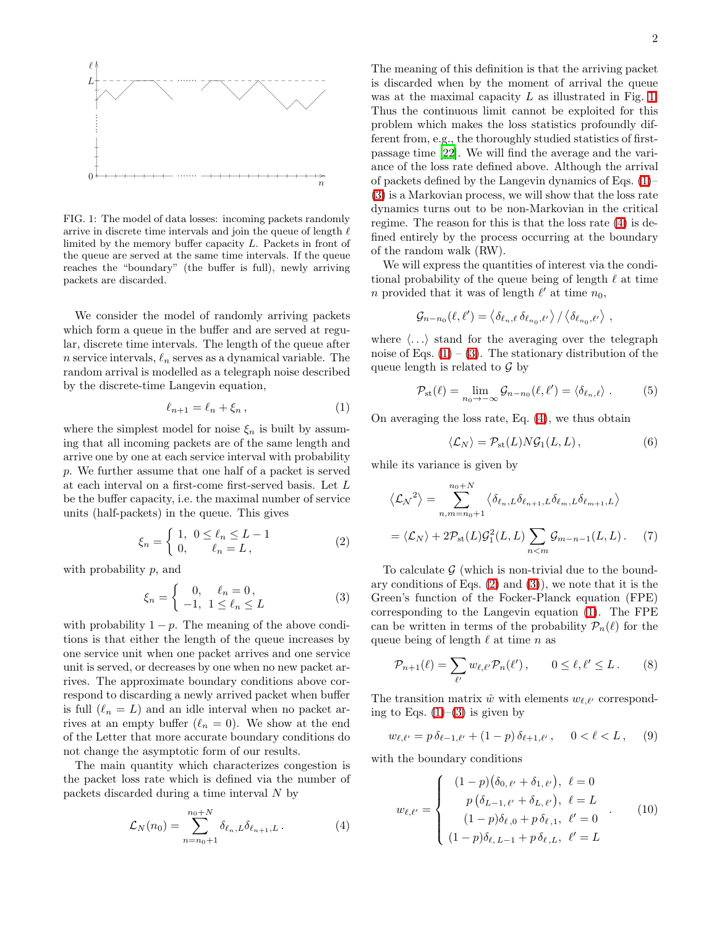

<span id="page-1-0"></span>FIG. 1: The model of data losses: incoming packets randomly arrive in discrete time intervals and join the queue of length  $\ell$ limited by the memory buffer capacity L. Packets in front of the queue are served at the same time intervals. If the queue reaches the "boundary" (the buffer is full), newly arriving packets are discarded.

We consider the model of randomly arriving packets which form a queue in the buffer and are served at regular, discrete time intervals. The length of the queue after n service intervals,  $\ell_n$  serves as a dynamical variable. The random arrival is modelled as a telegraph noise described by the discrete-time Langevin equation,

<span id="page-1-1"></span>
$$
\ell_{n+1} = \ell_n + \xi_n \,,\tag{1}
$$

where the simplest model for noise  $\xi_n$  is built by assuming that all incoming packets are of the same length and arrive one by one at each service interval with probability p. We further assume that one half of a packet is served at each interval on a first-come first-served basis. Let L be the buffer capacity, i.e. the maximal number of service units (half-packets) in the queue. This gives

<span id="page-1-4"></span>
$$
\xi_n = \begin{cases} 1, & 0 \le \ell_n \le L - 1 \\ 0, & \ell_n = L, \end{cases}
$$
 (2)

with probability p, and

<span id="page-1-2"></span>
$$
\xi_n = \begin{cases} 0, & \ell_n = 0, \\ -1, & 1 \le \ell_n \le L \end{cases} \tag{3}
$$

with probability  $1 - p$ . The meaning of the above conditions is that either the length of the queue increases by one service unit when one packet arrives and one service unit is served, or decreases by one when no new packet arrives. The approximate boundary conditions above correspond to discarding a newly arrived packet when buffer is full  $(\ell_n = L)$  and an idle interval when no packet arrives at an empty buffer  $(\ell_n = 0)$ . We show at the end of the Letter that more accurate boundary conditions do not change the asymptotic form of our results.

The main quantity which characterizes congestion is the packet loss rate which is defined via the number of packets discarded during a time interval N by

<span id="page-1-3"></span>
$$
\mathcal{L}_N(n_0) = \sum_{n=n_0+1}^{n_0+N} \delta_{\ell_n, L} \delta_{\ell_{n+1}, L} \,. \tag{4}
$$

The meaning of this definition is that the arriving packet is discarded when by the moment of arrival the queue was at the maximal capacity L as illustrated in Fig. [1.](#page-1-0) Thus the continuous limit cannot be exploited for this problem which makes the loss statistics profoundly different from, e.g., the thoroughly studied statistics of firstpassage time [\[22](#page-3-21)]. We will find the average and the variance of the loss rate defined above. Although the arrival of packets defined by the Langevin dynamics of Eqs. [\(1\)](#page-1-1)– [\(3\)](#page-1-2) is a Markovian process, we will show that the loss rate dynamics turns out to be non-Markovian in the critical regime. The reason for this is that the loss rate [\(4\)](#page-1-3) is defined entirely by the process occurring at the boundary of the random walk (RW).

We will express the quantities of interest via the conditional probability of the queue being of length  $\ell$  at time n provided that it was of length  $\ell'$  at time  $n_0$ ,

$$
\mathcal{G}_{n-n_0}(\ell,\ell') = \left\langle \delta_{\ell_n,\ell} \, \delta_{\ell_{n_0},\ell'} \right\rangle / \left\langle \delta_{\ell_{n_0},\ell'} \right\rangle,
$$

where  $\langle \ldots \rangle$  stand for the averaging over the telegraph noise of Eqs.  $(1) - (3)$  $(1) - (3)$ . The stationary distribution of the queue length is related to  $\mathcal G$  by

$$
\mathcal{P}_{\rm st}(\ell) = \lim_{n_0 \to -\infty} \mathcal{G}_{n-n_0}(\ell, \ell') = \langle \delta_{\ell_n, \ell} \rangle . \tag{5}
$$

On averaging the loss rate, Eq. [\(4\)](#page-1-3), we thus obtain

<span id="page-1-10"></span><span id="page-1-9"></span><span id="page-1-8"></span>
$$
\langle \mathcal{L}_N \rangle = \mathcal{P}_{\rm st}(L) N \mathcal{G}_1(L, L), \qquad (6)
$$

while its variance is given by

$$
\langle \mathcal{L_N}^2 \rangle = \sum_{n,m=n_0+1}^{n_0+N} \langle \delta_{\ell_n,L} \delta_{\ell_{n+1,L}} \delta_{\ell_m,L} \delta_{\ell_{m+1,L}} \rangle
$$
  
=  $\langle \mathcal{L_N} \rangle + 2\mathcal{P}_{\text{st}}(L)\mathcal{G}_1^2(L,L) \sum_{n \le m} \mathcal{G}_{m-n-1}(L,L).$  (7)

To calculate  $\mathcal G$  (which is non-trivial due to the boundary conditions of Eqs.  $(2)$  and  $(3)$ , we note that it is the Green's function of the Focker-Planck equation (FPE) corresponding to the Langevin equation [\(1\)](#page-1-1). The FPE can be written in terms of the probability  $\mathcal{P}_n(\ell)$  for the queue being of length  $\ell$  at time n as

<span id="page-1-6"></span><span id="page-1-5"></span>
$$
\mathcal{P}_{n+1}(\ell) = \sum_{\ell'} w_{\ell,\ell'} \mathcal{P}_n(\ell'), \qquad 0 \le \ell, \ell' \le L. \tag{8}
$$

The transition matrix  $\hat{w}$  with elements  $w_{\ell}$   $\ell'$  corresponding to Eqs.  $(1)$ – $(3)$  is given by

$$
w_{\ell,\ell'} = p \,\delta_{\ell-1,\ell'} + (1-p) \,\delta_{\ell+1,\ell'}, \quad 0 < \ell < L \,, \tag{9}
$$

with the boundary conditions

<span id="page-1-7"></span>
$$
w_{\ell,\ell'} = \begin{cases} (1-p)(\delta_{0,\ell'} + \delta_{1,\ell'}), & \ell = 0 \\ p(\delta_{L-1,\ell'} + \delta_{L,\ell'}), & \ell = L \\ (1-p)\delta_{\ell,0} + p \delta_{\ell,1}, & \ell' = 0 \\ (1-p)\delta_{\ell,L-1} + p \delta_{\ell,L}, & \ell' = L \end{cases}
$$
(10)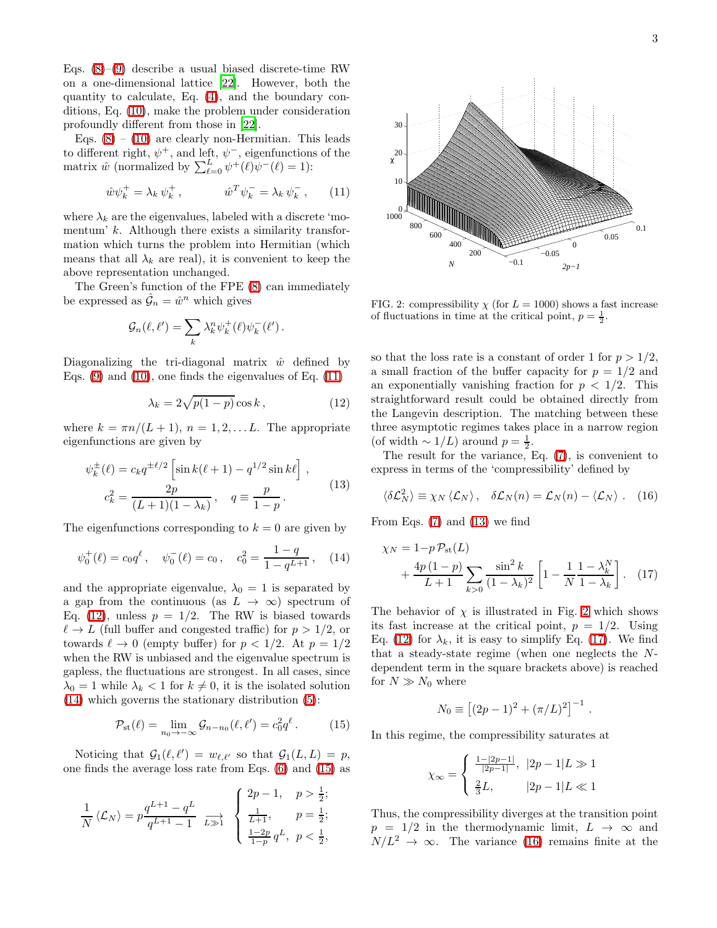Eqs.  $(8)-(9)$  $(8)-(9)$  describe a usual biased discrete-time RW on a one-dimensional lattice [\[22\]](#page-3-21). However, both the quantity to calculate, Eq. [\(4\)](#page-1-3), and the boundary conditions, Eq. [\(10\)](#page-1-7), make the problem under consideration profoundly different from those in [\[22\]](#page-3-21).

Eqs.  $(8) - (10)$  $(8) - (10)$  are clearly non-Hermitian. This leads to different right,  $\psi^+$ , and left,  $\psi^-$ , eigenfunctions of the matrix  $\hat{w}$  (normalized by  $\sum_{\ell=0}^{L} \psi^+(\ell) \psi^-(\ell) = 1$ ):

<span id="page-2-0"></span>
$$
\hat{w}\psi_k^+ = \lambda_k \psi_k^+, \qquad \hat{w}^T \psi_k^- = \lambda_k \psi_k^-, \qquad (11)
$$

where  $\lambda_k$  are the eigenvalues, labeled with a discrete 'momentum'  $k$ . Although there exists a similarity transformation which turns the problem into Hermitian (which means that all  $\lambda_k$  are real), it is convenient to keep the above representation unchanged.

The Green's function of the FPE [\(8\)](#page-1-5) can immediately be expressed as  $\hat{\mathcal{G}}_n = \hat{w}^n$  which gives

$$
\mathcal{G}_n(\ell,\ell') = \sum_k \lambda_k^n \psi_k^+(\ell) \psi_k^-(\ell').
$$

Diagonalizing the tri-diagonal matrix  $\hat{w}$  defined by Eqs.  $(9)$  and  $(10)$ , one finds the eigenvalues of Eq.  $(11)$ 

<span id="page-2-4"></span><span id="page-2-1"></span>
$$
\lambda_k = 2\sqrt{p(1-p)}\cos k\,,\tag{12}
$$

where  $k = \pi n/(L+1)$ ,  $n = 1, 2, \ldots L$ . The appropriate eigenfunctions are given by

$$
\psi_k^{\pm}(\ell) = c_k q^{\pm \ell/2} \left[ \sin k(\ell+1) - q^{1/2} \sin k\ell \right],
$$
  

$$
c_k^2 = \frac{2p}{(L+1)(1-\lambda_k)}, \quad q \equiv \frac{p}{1-p}.
$$
 (13)

The eigenfunctions corresponding to  $k = 0$  are given by

$$
\psi_0^+(\ell) = c_0 q^{\ell}, \quad \psi_0^-(\ell) = c_0, \quad c_0^2 = \frac{1-q}{1-q^{L+1}}, \quad (14)
$$

and the appropriate eigenvalue,  $\lambda_0 = 1$  is separated by a gap from the continuous (as  $L \rightarrow \infty$ ) spectrum of Eq. [\(12\)](#page-2-1), unless  $p = 1/2$ . The RW is biased towards  $\ell \to L$  (full buffer and congested traffic) for  $p > 1/2$ , or towards  $\ell \to 0$  (empty buffer) for  $p < 1/2$ . At  $p = 1/2$ when the RW is unbiased and the eigenvalue spectrum is gapless, the fluctuations are strongest. In all cases, since  $\lambda_0 = 1$  while  $\lambda_k < 1$  for  $k \neq 0$ , it is the isolated solution [\(14\)](#page-2-2) which governs the stationary distribution [\(5\)](#page-1-8):

$$
\mathcal{P}_{\text{st}}(\ell) = \lim_{n_0 \to -\infty} \mathcal{G}_{n-n_0}(\ell, \ell') = c_0^2 q^{\ell}.
$$
 (15)

Noticing that  $G_1(\ell, \ell') = w_{\ell, \ell'}$  so that  $G_1(L, L) = p$ , one finds the average loss rate from Eqs. [\(6\)](#page-1-9) and [\(15\)](#page-2-3) as

$$
\frac{1}{N} \langle \mathcal{L}_N \rangle = p \frac{q^{L+1} - q^L}{q^{L+1} - 1} \xrightarrow[L \gg 1]{\sum_{k=1}^{2p-1} \frac{1}{k+1}, \quad p = \frac{1}{2};
$$
  

$$
\frac{1 - 2p}{1 - p} q^L, \quad p < \frac{1}{2},
$$



<span id="page-2-5"></span>FIG. 2: compressibility  $\chi$  (for  $L = 1000$ ) shows a fast increase of fluctuations in time at the critical point,  $p = \frac{1}{2}$ .

so that the loss rate is a constant of order 1 for  $p > 1/2$ , a small fraction of the buffer capacity for  $p = 1/2$  and an exponentially vanishing fraction for  $p < 1/2$ . This straightforward result could be obtained directly from the Langevin description. The matching between these three asymptotic regimes takes place in a narrow region (of width  $\sim 1/L$ ) around  $p = \frac{1}{2}$ .

The result for the variance, Eq. [\(7\)](#page-1-10), is convenient to express in terms of the 'compressibility' defined by

<span id="page-2-7"></span>
$$
\langle \delta \mathcal{L}_N^2 \rangle \equiv \chi_N \langle \mathcal{L}_N \rangle, \quad \delta \mathcal{L}_N(n) = \mathcal{L}_N(n) - \langle \mathcal{L}_N \rangle. \quad (16)
$$

<span id="page-2-2"></span>From Eqs. [\(7\)](#page-1-10) and [\(13\)](#page-2-4) we find

$$
\chi_N = 1 - p \mathcal{P}_{\text{st}}(L) + \frac{4p(1-p)}{L+1} \sum_{k>0} \frac{\sin^2 k}{(1-\lambda_k)^2} \left[ 1 - \frac{1}{N} \frac{1-\lambda_k^N}{1-\lambda_k} \right].
$$
 (17)

The behavior of  $\chi$  is illustrated in Fig. [2](#page-2-5) which shows its fast increase at the critical point,  $p = 1/2$ . Using Eq. [\(12\)](#page-2-1) for  $\lambda_k$ , it is easy to simplify Eq. [\(17\)](#page-2-6). We find that a steady-state regime (when one neglects the Ndependent term in the square brackets above) is reached for  $N \gg N_0$  where

$$
N_0 \equiv [(2p - 1)^2 + (\pi/L)^2]^{-1}
$$

<span id="page-2-6"></span>.

<span id="page-2-3"></span>In this regime, the compressibility saturates at

$$
\chi_{\infty} = \begin{cases} \frac{1-|2p-1|}{|2p-1|}, & |2p-1|L \gg 1\\ \frac{2}{3}L, & |2p-1|L \ll 1 \end{cases}
$$

Thus, the compressibility diverges at the transition point  $p = 1/2$  in the thermodynamic limit,  $L \rightarrow \infty$  and  $N/L^2 \rightarrow \infty$ . The variance [\(16\)](#page-2-7) remains finite at the